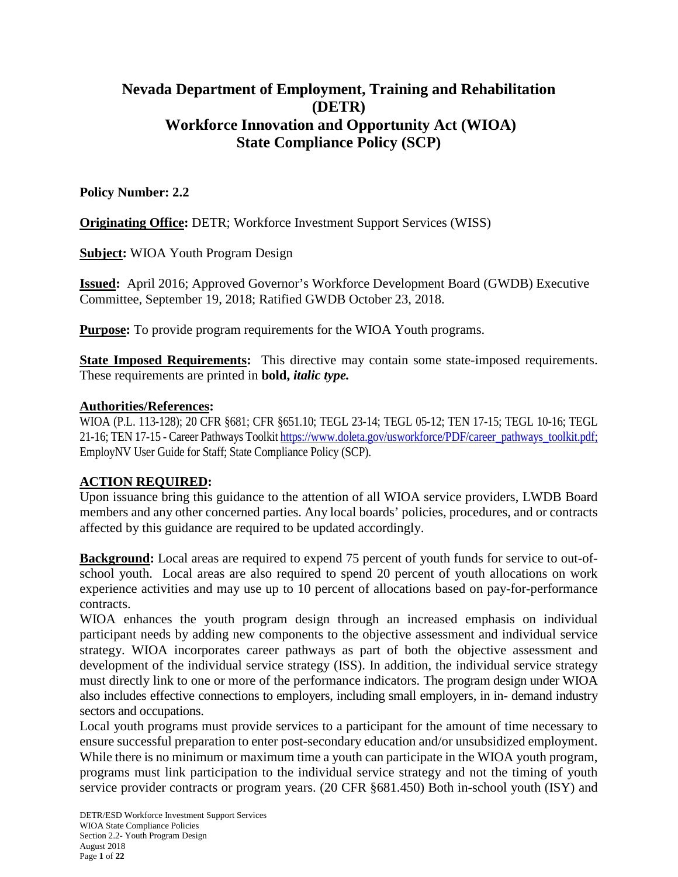# **Nevada Department of Employment, Training and Rehabilitation (DETR) Workforce Innovation and Opportunity Act (WIOA) State Compliance Policy (SCP)**

## **Policy Number: 2.2**

**Originating Office: DETR: Workforce Investment Support Services (WISS)** 

**Subject:** WIOA Youth Program Design

**Issued:** April 2016; Approved Governor's Workforce Development Board (GWDB) Executive Committee, September 19, 2018; Ratified GWDB October 23, 2018.

**Purpose:** To provide program requirements for the WIOA Youth programs.

**State Imposed Requirements:** This directive may contain some state-imposed requirements. These requirements are printed in **bold,** *italic type.*

### **Authorities/References:**

WIOA (P.L. 113-128); 20 CFR §681; CFR §651.10; TEGL 23-14; TEGL 05-12; TEN 17-15; TEGL 10-16; TEGL 21-16; TEN 17-15 - Career Pathways Toolki[t https://www.doleta.gov/usworkforce/PDF/career\\_pathways\\_toolkit.pdf;](https://www.doleta.gov/usworkforce/PDF/career_pathways_toolkit.pdf) EmployNV User Guide for Staff; State Compliance Policy (SCP).

## **ACTION REQUIRED:**

Upon issuance bring this guidance to the attention of all WIOA service providers, LWDB Board members and any other concerned parties. Any local boards' policies, procedures, and or contracts affected by this guidance are required to be updated accordingly.

**Background:** Local areas are required to expend 75 percent of youth funds for service to out-ofschool youth. Local areas are also required to spend 20 percent of youth allocations on work experience activities and may use up to 10 percent of allocations based on pay-for-performance contracts.

WIOA enhances the youth program design through an increased emphasis on individual participant needs by adding new components to the objective assessment and individual service strategy. WIOA incorporates career pathways as part of both the objective assessment and development of the individual service strategy (ISS). In addition, the individual service strategy must directly link to one or more of the performance indicators. The program design under WIOA also includes effective connections to employers, including small employers, in in- demand industry sectors and occupations.

Local youth programs must provide services to a participant for the amount of time necessary to ensure successful preparation to enter post-secondary education and/or unsubsidized employment. While there is no minimum or maximum time a youth can participate in the WIOA youth program, programs must link participation to the individual service strategy and not the timing of youth service provider contracts or program years. (20 CFR §681.450) Both in-school youth (ISY) and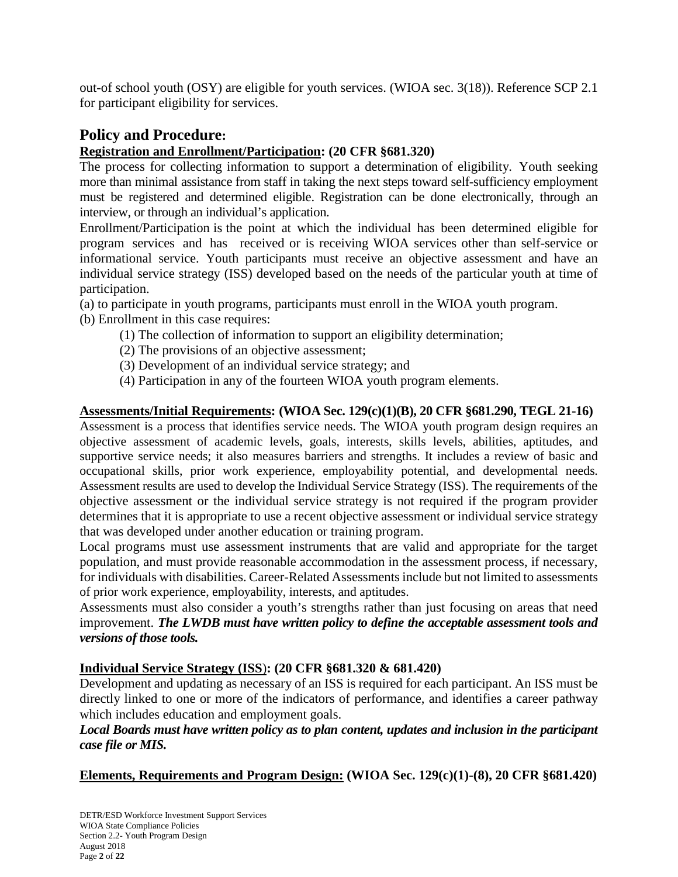out-of school youth (OSY) are eligible for youth services. (WIOA sec. 3(18)). Reference SCP 2.1 for participant eligibility for services.

# **Policy and Procedure:**

## **Registration and Enrollment/Participation: (20 CFR §681.320)**

The process for collecting information to support a determination of eligibility. Youth seeking more than minimal assistance from staff in taking the next steps toward self-sufficiency employment must be registered and determined eligible. Registration can be done electronically, through an interview, or through an individual's application.

Enrollment/Participation is the point at which the individual has been determined eligible for program services and has received or is receiving WIOA services other than self-service or informational service. Youth participants must receive an objective assessment and have an individual service strategy (ISS) developed based on the needs of the particular youth at time of participation.

- (a) to participate in youth programs, participants must enroll in the WIOA youth program.
- (b) Enrollment in this case requires:
	- (1) The collection of information to support an eligibility determination;
	- (2) The provisions of an objective assessment;
	- (3) Development of an individual service strategy; and
	- (4) Participation in any of the fourteen WIOA youth program elements.

## **Assessments/Initial Requirements: (WIOA Sec. 129(c)(1)(B), 20 CFR §681.290, TEGL 21-16)**

Assessment is a process that identifies service needs. The WIOA youth program design requires an objective assessment of academic levels, goals, interests, skills levels, abilities, aptitudes, and supportive service needs; it also measures barriers and strengths. It includes a review of basic and occupational skills, prior work experience, employability potential, and developmental needs. Assessment results are used to develop the Individual Service Strategy (ISS). The requirements of the objective assessment or the individual service strategy is not required if the program provider determines that it is appropriate to use a recent objective assessment or individual service strategy that was developed under another education or training program.

Local programs must use assessment instruments that are valid and appropriate for the target population, and must provide reasonable accommodation in the assessment process, if necessary, for individuals with disabilities. Career-Related Assessments include but not limited to assessments of prior work experience, employability, interests, and aptitudes.

Assessments must also consider a youth's strengths rather than just focusing on areas that need improvement. *The LWDB must have written policy to define the acceptable assessment tools and versions of those tools.*

## **Individual Service Strategy (ISS**)**: (20 CFR §681.320 & 681.420)**

Development and updating as necessary of an ISS is required for each participant. An ISS must be directly linked to one or more of the indicators of performance, and identifies a career pathway which includes education and employment goals.

## *Local Boards must have written policy as to plan content, updates and inclusion in the participant case file or MIS.*

**Elements, Requirements and Program Design: (WIOA Sec. 129(c)(1)-(8), 20 CFR §681.420)**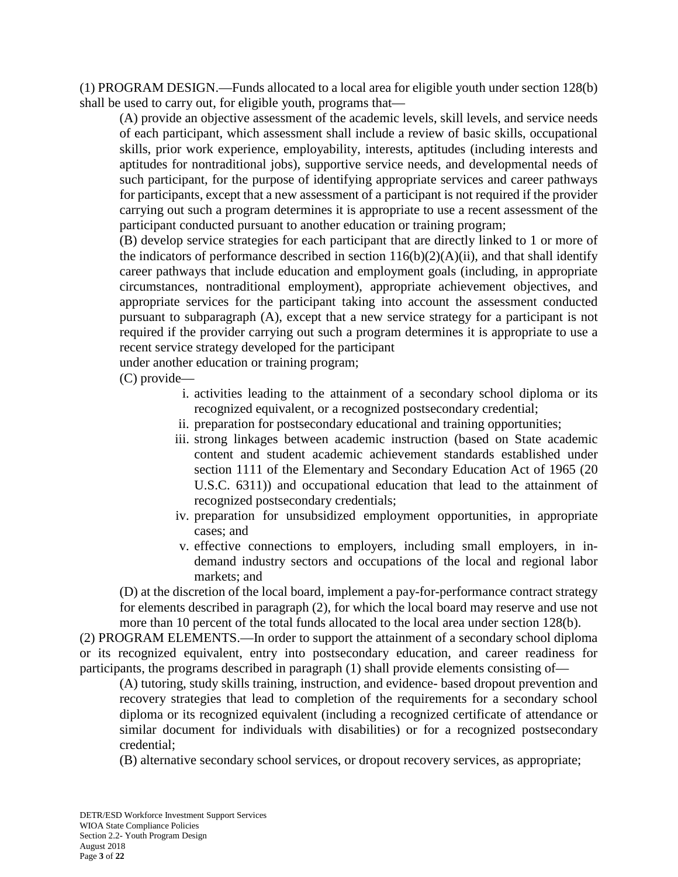(1) PROGRAM DESIGN.—Funds allocated to a local area for eligible youth under section 128(b) shall be used to carry out, for eligible youth, programs that—

(A) provide an objective assessment of the academic levels, skill levels, and service needs of each participant, which assessment shall include a review of basic skills, occupational skills, prior work experience, employability, interests, aptitudes (including interests and aptitudes for nontraditional jobs), supportive service needs, and developmental needs of such participant, for the purpose of identifying appropriate services and career pathways for participants, except that a new assessment of a participant is not required if the provider carrying out such a program determines it is appropriate to use a recent assessment of the participant conducted pursuant to another education or training program;

(B) develop service strategies for each participant that are directly linked to 1 or more of the indicators of performance described in section  $116(b)(2)(A)(ii)$ , and that shall identify career pathways that include education and employment goals (including, in appropriate circumstances, nontraditional employment), appropriate achievement objectives, and appropriate services for the participant taking into account the assessment conducted pursuant to subparagraph (A), except that a new service strategy for a participant is not required if the provider carrying out such a program determines it is appropriate to use a recent service strategy developed for the participant

under another education or training program;

(C) provide—

- i. activities leading to the attainment of a secondary school diploma or its recognized equivalent, or a recognized postsecondary credential;
- ii. preparation for postsecondary educational and training opportunities;
- iii. strong linkages between academic instruction (based on State academic content and student academic achievement standards established under section 1111 of the Elementary and Secondary Education Act of 1965 (20 U.S.C. 6311)) and occupational education that lead to the attainment of recognized postsecondary credentials;
- iv. preparation for unsubsidized employment opportunities, in appropriate cases; and
- v. effective connections to employers, including small employers, in indemand industry sectors and occupations of the local and regional labor markets; and

(D) at the discretion of the local board, implement a pay-for-performance contract strategy for elements described in paragraph (2), for which the local board may reserve and use not more than 10 percent of the total funds allocated to the local area under section 128(b).

(2) PROGRAM ELEMENTS.—In order to support the attainment of a secondary school diploma or its recognized equivalent, entry into postsecondary education, and career readiness for participants, the programs described in paragraph (1) shall provide elements consisting of—

(A) tutoring, study skills training, instruction, and evidence- based dropout prevention and recovery strategies that lead to completion of the requirements for a secondary school diploma or its recognized equivalent (including a recognized certificate of attendance or similar document for individuals with disabilities) or for a recognized postsecondary credential;

(B) alternative secondary school services, or dropout recovery services, as appropriate;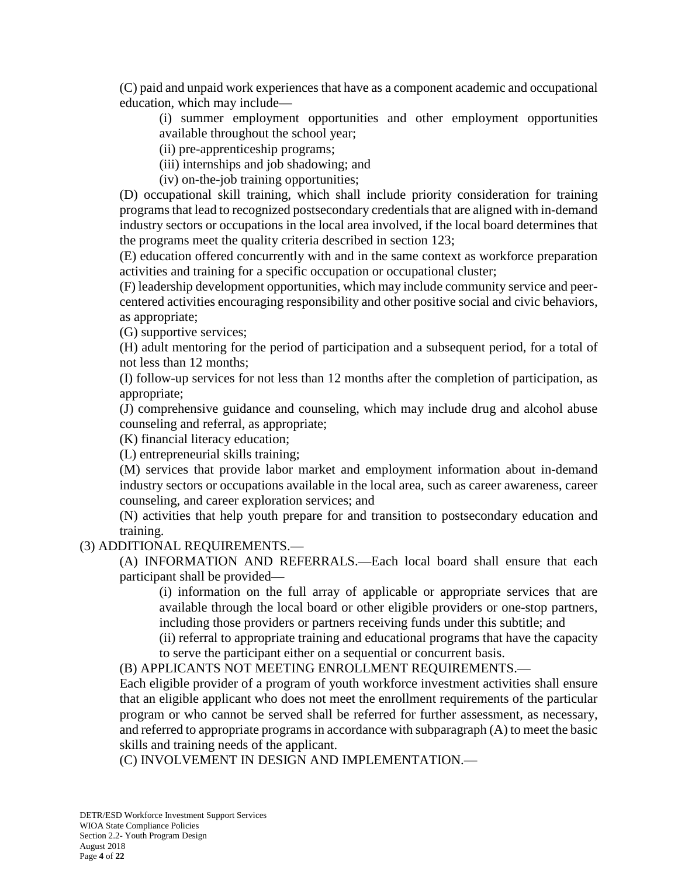(C) paid and unpaid work experiences that have as a component academic and occupational education, which may include—

(i) summer employment opportunities and other employment opportunities available throughout the school year;

(ii) pre-apprenticeship programs;

(iii) internships and job shadowing; and

(iv) on-the-job training opportunities;

(D) occupational skill training, which shall include priority consideration for training programs that lead to recognized postsecondary credentials that are aligned with in-demand industry sectors or occupations in the local area involved, if the local board determines that the programs meet the quality criteria described in section 123;

(E) education offered concurrently with and in the same context as workforce preparation activities and training for a specific occupation or occupational cluster;

(F) leadership development opportunities, which may include community service and peercentered activities encouraging responsibility and other positive social and civic behaviors, as appropriate;

(G) supportive services;

(H) adult mentoring for the period of participation and a subsequent period, for a total of not less than 12 months;

(I) follow-up services for not less than 12 months after the completion of participation, as appropriate;

(J) comprehensive guidance and counseling, which may include drug and alcohol abuse counseling and referral, as appropriate;

(K) financial literacy education;

(L) entrepreneurial skills training;

(M) services that provide labor market and employment information about in-demand industry sectors or occupations available in the local area, such as career awareness, career counseling, and career exploration services; and

(N) activities that help youth prepare for and transition to postsecondary education and training.

### (3) ADDITIONAL REQUIREMENTS.—

(A) INFORMATION AND REFERRALS.—Each local board shall ensure that each participant shall be provided—

(i) information on the full array of applicable or appropriate services that are available through the local board or other eligible providers or one-stop partners, including those providers or partners receiving funds under this subtitle; and

(ii) referral to appropriate training and educational programs that have the capacity to serve the participant either on a sequential or concurrent basis.

(B) APPLICANTS NOT MEETING ENROLLMENT REQUIREMENTS.—

Each eligible provider of a program of youth workforce investment activities shall ensure that an eligible applicant who does not meet the enrollment requirements of the particular program or who cannot be served shall be referred for further assessment, as necessary, and referred to appropriate programs in accordance with subparagraph (A) to meet the basic skills and training needs of the applicant.

(C) INVOLVEMENT IN DESIGN AND IMPLEMENTATION.—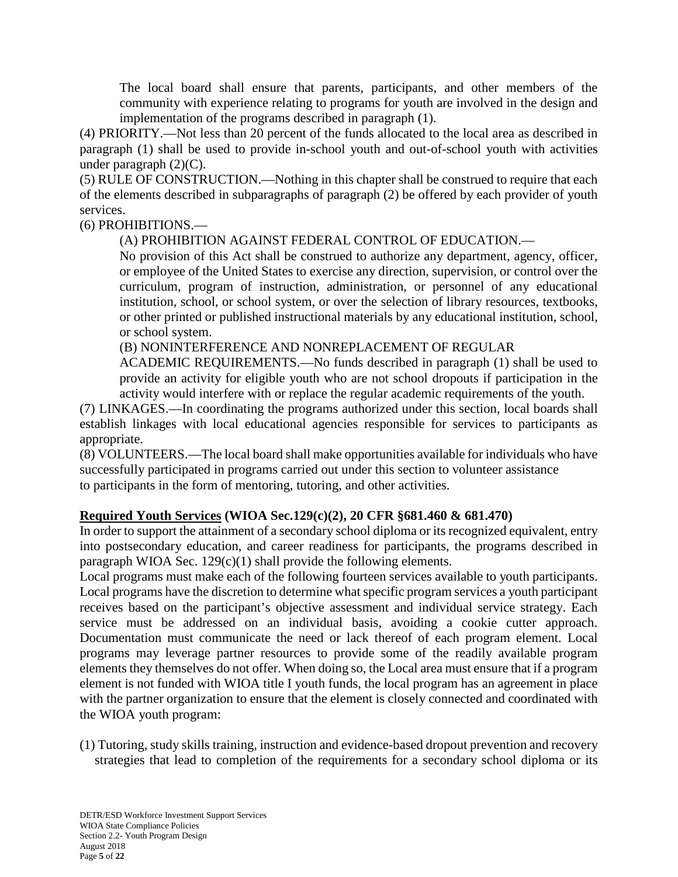The local board shall ensure that parents, participants, and other members of the community with experience relating to programs for youth are involved in the design and implementation of the programs described in paragraph (1).

(4) PRIORITY.—Not less than 20 percent of the funds allocated to the local area as described in paragraph (1) shall be used to provide in-school youth and out-of-school youth with activities under paragraph  $(2)(C)$ .

(5) RULE OF CONSTRUCTION.—Nothing in this chapter shall be construed to require that each of the elements described in subparagraphs of paragraph (2) be offered by each provider of youth services.

(6) PROHIBITIONS.—

(A) PROHIBITION AGAINST FEDERAL CONTROL OF EDUCATION.—

No provision of this Act shall be construed to authorize any department, agency, officer, or employee of the United States to exercise any direction, supervision, or control over the curriculum, program of instruction, administration, or personnel of any educational institution, school, or school system, or over the selection of library resources, textbooks, or other printed or published instructional materials by any educational institution, school, or school system.

(B) NONINTERFERENCE AND NONREPLACEMENT OF REGULAR

ACADEMIC REQUIREMENTS.—No funds described in paragraph (1) shall be used to provide an activity for eligible youth who are not school dropouts if participation in the activity would interfere with or replace the regular academic requirements of the youth.

(7) LINKAGES.—In coordinating the programs authorized under this section, local boards shall establish linkages with local educational agencies responsible for services to participants as appropriate.

(8) VOLUNTEERS.—The local board shall make opportunities available for individuals who have successfully participated in programs carried out under this section to volunteer assistance to participants in the form of mentoring, tutoring, and other activities.

# **Required Youth Services (WIOA Sec.129(c)(2), 20 CFR §681.460 & 681.470)**

In order to support the attainment of a secondary school diploma or its recognized equivalent, entry into postsecondary education, and career readiness for participants, the programs described in paragraph WIOA Sec.  $129(c)(1)$  shall provide the following elements.

Local programs must make each of the following fourteen services available to youth participants. Local programs have the discretion to determine what specific program services a youth participant receives based on the participant's objective assessment and individual service strategy. Each service must be addressed on an individual basis, avoiding a cookie cutter approach. Documentation must communicate the need or lack thereof of each program element. Local programs may leverage partner resources to provide some of the readily available program elements they themselves do not offer. When doing so, the Local area must ensure that if a program element is not funded with WIOA title I youth funds, the local program has an agreement in place with the partner organization to ensure that the element is closely connected and coordinated with the WIOA youth program:

(1) Tutoring, study skills training, instruction and evidence-based dropout prevention and recovery strategies that lead to completion of the requirements for a secondary school diploma or its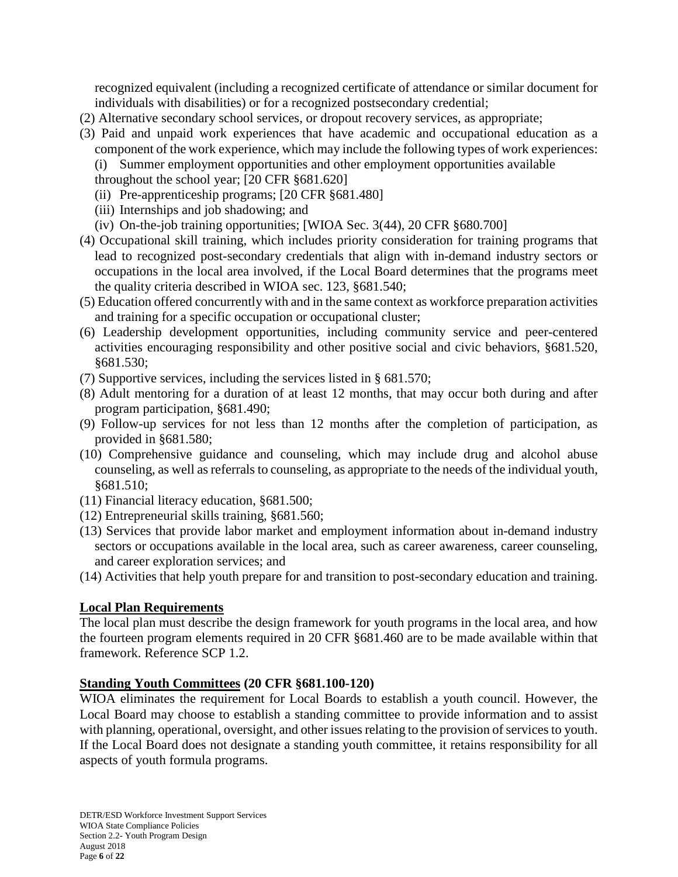recognized equivalent (including a recognized certificate of attendance or similar document for individuals with disabilities) or for a recognized postsecondary credential;

- (2) Alternative secondary school services, or dropout recovery services, as appropriate;
- (3) Paid and unpaid work experiences that have academic and occupational education as a component of the work experience, which may include the following types of work experiences:
	- (i) Summer employment opportunities and other employment opportunities available
	- throughout the school year; [20 CFR §681.620]
	- (ii) Pre-apprenticeship programs; [20 CFR §681.480]
	- (iii) Internships and job shadowing; and
	- (iv) On-the-job training opportunities; [WIOA Sec. 3(44), 20 CFR §680.700]
- (4) Occupational skill training, which includes priority consideration for training programs that lead to recognized post-secondary credentials that align with in-demand industry sectors or occupations in the local area involved, if the Local Board determines that the programs meet the quality criteria described in WIOA sec. 123, §681.540;
- (5) Education offered concurrently with and in the same context as workforce preparation activities and training for a specific occupation or occupational cluster;
- (6) Leadership development opportunities, including community service and peer-centered activities encouraging responsibility and other positive social and civic behaviors, §681.520, §681.530;
- (7) Supportive services, including the services listed in § 681.570;
- (8) Adult mentoring for a duration of at least 12 months, that may occur both during and after program participation, §681.490;
- (9) Follow-up services for not less than 12 months after the completion of participation, as provided in §681.580;
- (10) Comprehensive guidance and counseling, which may include drug and alcohol abuse counseling, as well as referrals to counseling, as appropriate to the needs of the individual youth, §681.510;
- (11) Financial literacy education, §681.500;
- (12) Entrepreneurial skills training, §681.560;
- (13) Services that provide labor market and employment information about in-demand industry sectors or occupations available in the local area, such as career awareness, career counseling, and career exploration services; and
- (14) Activities that help youth prepare for and transition to post-secondary education and training.

## **Local Plan Requirements**

The local plan must describe the design framework for youth programs in the local area, and how the fourteen program elements required in 20 CFR §681.460 are to be made available within that framework. Reference SCP 1.2.

### **Standing Youth Committees (20 CFR §681.100-120)**

WIOA eliminates the requirement for Local Boards to establish a youth council. However, the Local Board may choose to establish a standing committee to provide information and to assist with planning, operational, oversight, and other issues relating to the provision of services to youth. If the Local Board does not designate a standing youth committee, it retains responsibility for all aspects of youth formula programs.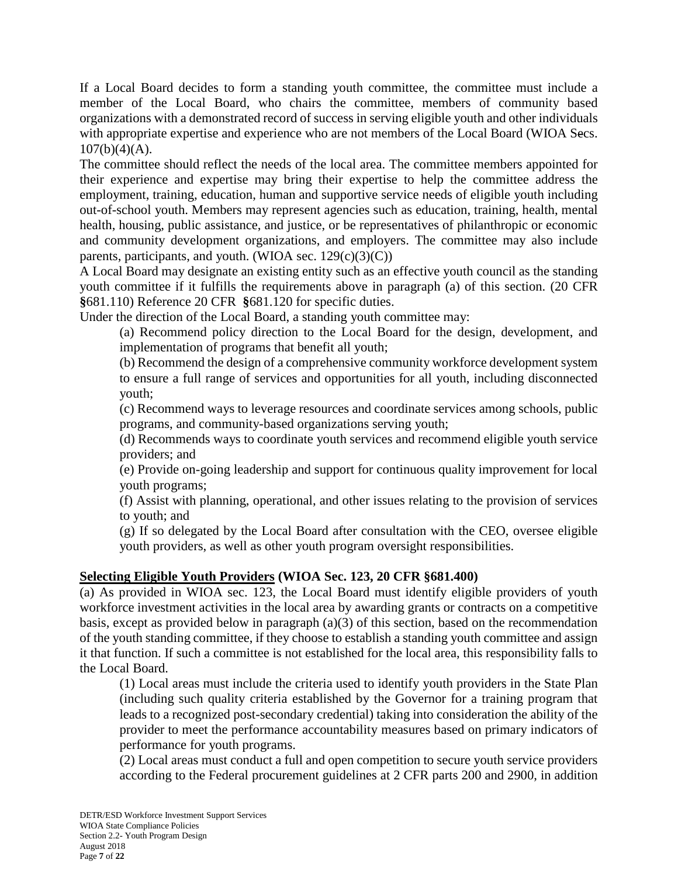If a Local Board decides to form a standing youth committee, the committee must include a member of the Local Board, who chairs the committee, members of community based organizations with a demonstrated record of success in serving eligible youth and other individuals with appropriate expertise and experience who are not members of the Local Board (WIOA Secs.  $107(b)(4)(A)$ .

The committee should reflect the needs of the local area. The committee members appointed for their experience and expertise may bring their expertise to help the committee address the employment, training, education, human and supportive service needs of eligible youth including out-of-school youth. Members may represent agencies such as education, training, health, mental health, housing, public assistance, and justice, or be representatives of philanthropic or economic and community development organizations, and employers. The committee may also include parents, participants, and youth. (WIOA sec.  $129(c)(3)(C)$ )

A Local Board may designate an existing entity such as an effective youth council as the standing youth committee if it fulfills the requirements above in paragraph (a) of this section. (20 CFR **§**681.110) Reference 20 CFR **§**681.120 for specific duties.

Under the direction of the Local Board, a standing youth committee may:

(a) Recommend policy direction to the Local Board for the design, development, and implementation of programs that benefit all youth;

(b) Recommend the design of a comprehensive community workforce development system to ensure a full range of services and opportunities for all youth, including disconnected youth;

(c) Recommend ways to leverage resources and coordinate services among schools, public programs, and community-based organizations serving youth;

(d) Recommends ways to coordinate youth services and recommend eligible youth service providers; and

(e) Provide on-going leadership and support for continuous quality improvement for local youth programs;

(f) Assist with planning, operational, and other issues relating to the provision of services to youth; and

(g) If so delegated by the Local Board after consultation with the CEO, oversee eligible youth providers, as well as other youth program oversight responsibilities.

# **Selecting Eligible Youth Providers (WIOA Sec. 123, 20 CFR §681.400)**

(a) As provided in WIOA sec. 123, the Local Board must identify eligible providers of youth workforce investment activities in the local area by awarding grants or contracts on a competitive basis, except as provided below in paragraph (a)(3) of this section, based on the recommendation of the youth standing committee, if they choose to establish a standing youth committee and assign it that function. If such a committee is not established for the local area, this responsibility falls to the Local Board.

(1) Local areas must include the criteria used to identify youth providers in the State Plan (including such quality criteria established by the Governor for a training program that leads to a recognized post-secondary credential) taking into consideration the ability of the provider to meet the performance accountability measures based on primary indicators of performance for youth programs.

(2) Local areas must conduct a full and open competition to secure youth service providers according to the Federal procurement guidelines at 2 CFR parts 200 and 2900, in addition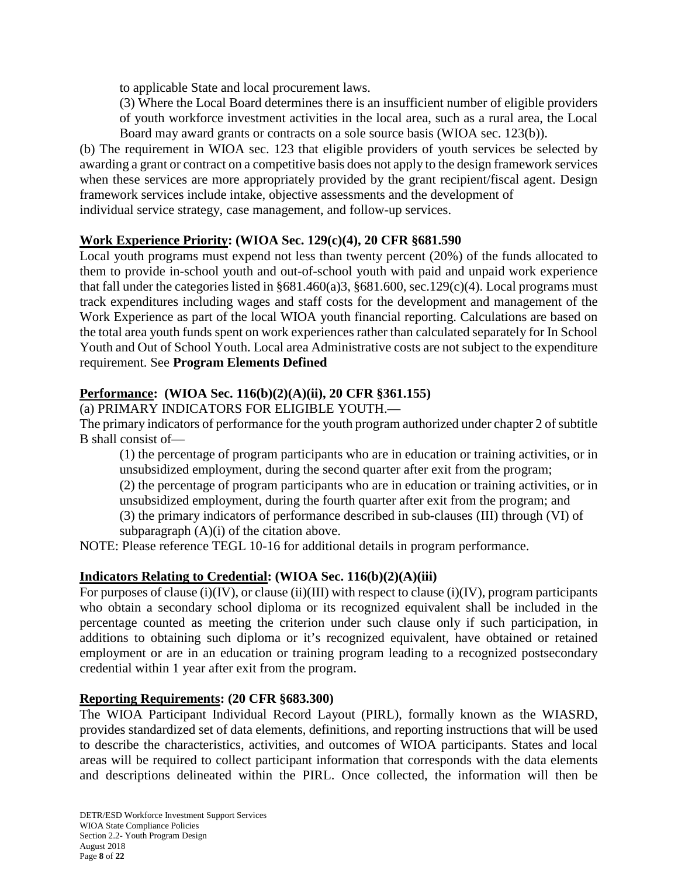to applicable State and local procurement laws.

(3) Where the Local Board determines there is an insufficient number of eligible providers of youth workforce investment activities in the local area, such as a rural area, the Local Board may award grants or contracts on a sole source basis (WIOA sec. 123(b)).

(b) The requirement in WIOA sec. 123 that eligible providers of youth services be selected by awarding a grant or contract on a competitive basis does not apply to the design framework services when these services are more appropriately provided by the grant recipient/fiscal agent. Design framework services include intake, objective assessments and the development of individual service strategy, case management, and follow-up services.

## **Work Experience Priority: (WIOA Sec. 129(c)(4), 20 CFR §681.590**

Local youth programs must expend not less than twenty percent (20%) of the funds allocated to them to provide in-school youth and out-of-school youth with paid and unpaid work experience that fall under the categories listed in §681.460(a)3, §681.600, sec.129(c)(4). Local programs must track expenditures including wages and staff costs for the development and management of the Work Experience as part of the local WIOA youth financial reporting. Calculations are based on the total area youth funds spent on work experiences rather than calculated separately for In School Youth and Out of School Youth. Local area Administrative costs are not subject to the expenditure requirement. See **Program Elements Defined**

## **Performance: (WIOA Sec. 116(b)(2)(A)(ii), 20 CFR §361.155)**

(a) PRIMARY INDICATORS FOR ELIGIBLE YOUTH.—

The primary indicators of performance for the youth program authorized under chapter 2 of subtitle B shall consist of—

(1) the percentage of program participants who are in education or training activities, or in unsubsidized employment, during the second quarter after exit from the program;

(2) the percentage of program participants who are in education or training activities, or in unsubsidized employment, during the fourth quarter after exit from the program; and

(3) the primary indicators of performance described in sub-clauses (III) through (VI) of subparagraph (A)(i) of the citation above.

NOTE: Please reference TEGL 10-16 for additional details in program performance.

# **Indicators Relating to Credential: (WIOA Sec. 116(b)(2)(A)(iii)**

For purposes of clause (i)(IV), or clause (ii)(III) with respect to clause (i)(IV), program participants who obtain a secondary school diploma or its recognized equivalent shall be included in the percentage counted as meeting the criterion under such clause only if such participation, in additions to obtaining such diploma or it's recognized equivalent, have obtained or retained employment or are in an education or training program leading to a recognized postsecondary credential within 1 year after exit from the program.

## **Reporting Requirements: (20 CFR §683.300)**

The WIOA Participant Individual Record Layout (PIRL), formally known as the WIASRD, provides standardized set of data elements, definitions, and reporting instructions that will be used to describe the characteristics, activities, and outcomes of WIOA participants. States and local areas will be required to collect participant information that corresponds with the data elements and descriptions delineated within the PIRL. Once collected, the information will then be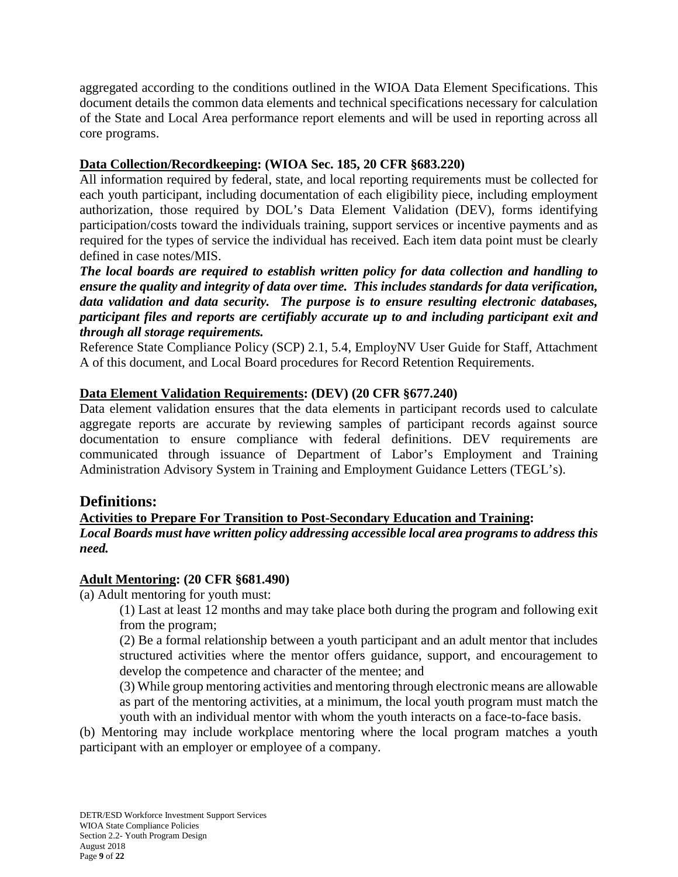aggregated according to the conditions outlined in the WIOA Data Element Specifications. This document details the common data elements and technical specifications necessary for calculation of the State and Local Area performance report elements and will be used in reporting across all core programs.

## **Data Collection/Recordkeeping: (WIOA Sec. 185, 20 CFR §683.220)**

All information required by federal, state, and local reporting requirements must be collected for each youth participant, including documentation of each eligibility piece, including employment authorization, those required by DOL's Data Element Validation (DEV), forms identifying participation/costs toward the individuals training, support services or incentive payments and as required for the types of service the individual has received. Each item data point must be clearly defined in case notes/MIS.

*The local boards are required to establish written policy for data collection and handling to ensure the quality and integrity of data over time. This includes standards for data verification, data validation and data security. The purpose is to ensure resulting electronic databases, participant files and reports are certifiably accurate up to and including participant exit and through all storage requirements.*

Reference State Compliance Policy (SCP) 2.1, 5.4, EmployNV User Guide for Staff, Attachment A of this document, and Local Board procedures for Record Retention Requirements.

## **Data Element Validation Requirements: (DEV) (20 CFR §677.240)**

Data element validation ensures that the data elements in participant records used to calculate aggregate reports are accurate by reviewing samples of participant records against source documentation to ensure compliance with federal definitions. DEV requirements are communicated through issuance of Department of Labor's Employment and Training Administration Advisory System in Training and Employment Guidance Letters (TEGL's).

# **Definitions:**

## **Activities to Prepare For Transition to Post-Secondary Education and Training:**

*Local Boards must have written policy addressing accessible local area programs to address this need.*

## **Adult Mentoring: (20 CFR §681.490)**

(a) Adult mentoring for youth must:

(1) Last at least 12 months and may take place both during the program and following exit from the program;

(2) Be a formal relationship between a youth participant and an adult mentor that includes structured activities where the mentor offers guidance, support, and encouragement to develop the competence and character of the mentee; and

(3) While group mentoring activities and mentoring through electronic means are allowable as part of the mentoring activities, at a minimum, the local youth program must match the youth with an individual mentor with whom the youth interacts on a face-to-face basis.

(b) Mentoring may include workplace mentoring where the local program matches a youth participant with an employer or employee of a company.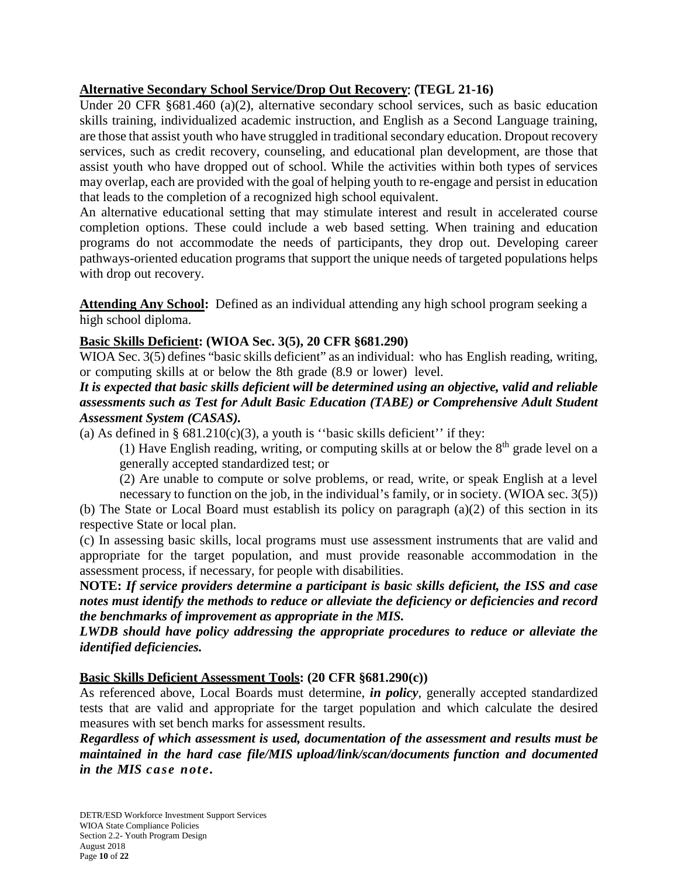## **Alternative Secondary School Service/Drop Out Recovery**: (**TEGL 21-16)**

Under 20 CFR §681.460 (a)(2), alternative secondary school services, such as basic education skills training, individualized academic instruction, and English as a Second Language training, are those that assist youth who have struggled in traditional secondary education. Dropout recovery services, such as credit recovery, counseling, and educational plan development, are those that assist youth who have dropped out of school. While the activities within both types of services may overlap, each are provided with the goal of helping youth to re-engage and persist in education that leads to the completion of a recognized high school equivalent.

An alternative educational setting that may stimulate interest and result in accelerated course completion options. These could include a web based setting. When training and education programs do not accommodate the needs of participants, they drop out. Developing career pathways-oriented education programs that support the unique needs of targeted populations helps with drop out recovery.

**Attending Any School:** Defined as an individual attending any high school program seeking a high school diploma.

## **Basic Skills Deficient: (WIOA Sec. 3(5), 20 CFR §681.290)**

WIOA Sec. 3(5) defines "basic skills deficient" as an individual: who has English reading, writing, or computing skills at or below the 8th grade (8.9 or lower) level.

### *It is expected that basic skills deficient will be determined using an objective, valid and reliable assessments such as Test for Adult Basic Education (TABE) or Comprehensive Adult Student Assessment System (CASAS).*

(a) As defined in  $\S$  681.210(c)(3), a youth is "basic skills deficient" if they:

(1) Have English reading, writing, or computing skills at or below the  $8<sup>th</sup>$  grade level on a generally accepted standardized test; or

(2) Are unable to compute or solve problems, or read, write, or speak English at a level

necessary to function on the job, in the individual's family, or in society. (WIOA sec. 3(5)) (b) The State or Local Board must establish its policy on paragraph (a)(2) of this section in its respective State or local plan.

(c) In assessing basic skills, local programs must use assessment instruments that are valid and appropriate for the target population, and must provide reasonable accommodation in the assessment process, if necessary, for people with disabilities.

**NOTE:** *If service providers determine a participant is basic skills deficient, the ISS and case notes must identify the methods to reduce or alleviate the deficiency or deficiencies and record the benchmarks of improvement as appropriate in the MIS.*

*LWDB should have policy addressing the appropriate procedures to reduce or alleviate the identified deficiencies.*

## **Basic Skills Deficient Assessment Tools: (20 CFR §681.290(c))**

As referenced above, Local Boards must determine, *in policy*, generally accepted standardized tests that are valid and appropriate for the target population and which calculate the desired measures with set bench marks for assessment results.

*Regardless of which assessment is used, documentation of the assessment and results must be maintained in the hard case file/MIS upload/link/scan/documents function and documented in the MIS case note.*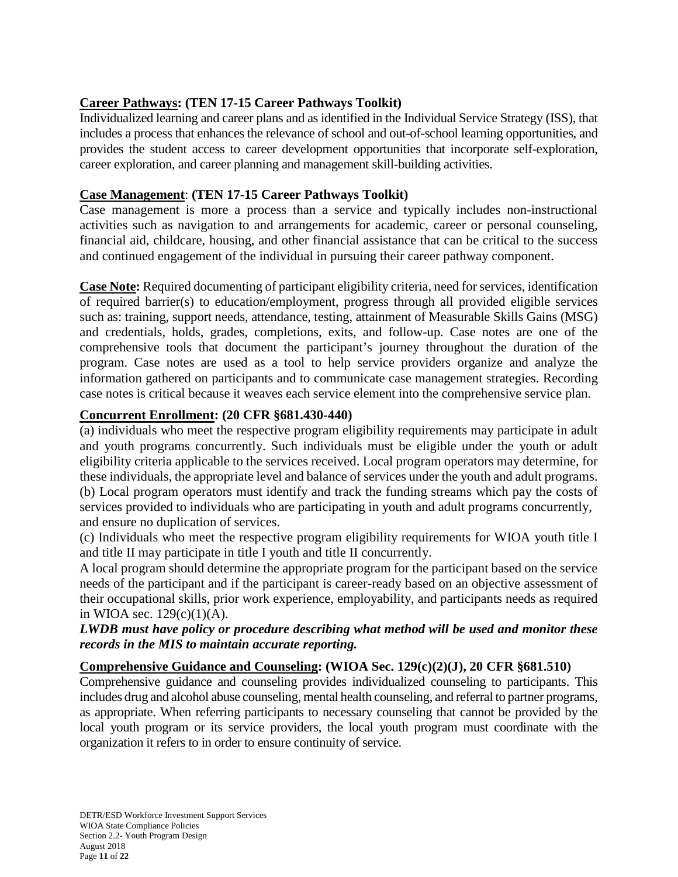# **Career Pathways: (TEN 17-15 Career Pathways Toolkit)**

Individualized learning and career plans and as identified in the Individual Service Strategy (ISS), that includes a process that enhances the relevance of school and out-of-school learning opportunities, and provides the student access to career development opportunities that incorporate self-exploration, career exploration, and career planning and management skill-building activities.

## **Case Management**: **(TEN 17-15 Career Pathways Toolkit)**

Case management is more a process than a service and typically includes non-instructional activities such as navigation to and arrangements for academic, career or personal counseling, financial aid, childcare, housing, and other financial assistance that can be critical to the success and continued engagement of the individual in pursuing their career pathway component.

**Case Note:** Required documenting of participant eligibility criteria, need for services, identification of required barrier(s) to education/employment, progress through all provided eligible services such as: training, support needs, attendance, testing, attainment of Measurable Skills Gains (MSG) and credentials, holds, grades, completions, exits, and follow-up. Case notes are one of the comprehensive tools that document the participant's journey throughout the duration of the program. Case notes are used as a tool to help service providers organize and analyze the information gathered on participants and to communicate case management strategies. Recording case notes is critical because it weaves each service element into the comprehensive service plan.

## **Concurrent Enrollment: (20 CFR §681.430-440)**

(a) individuals who meet the respective program eligibility requirements may participate in adult and youth programs concurrently. Such individuals must be eligible under the youth or adult eligibility criteria applicable to the services received. Local program operators may determine, for these individuals, the appropriate level and balance of services under the youth and adult programs. (b) Local program operators must identify and track the funding streams which pay the costs of services provided to individuals who are participating in youth and adult programs concurrently, and ensure no duplication of services.

(c) Individuals who meet the respective program eligibility requirements for WIOA youth title I and title II may participate in title I youth and title II concurrently.

A local program should determine the appropriate program for the participant based on the service needs of the participant and if the participant is career-ready based on an objective assessment of their occupational skills, prior work experience, employability, and participants needs as required in WIOA sec.  $129(c)(1)(A)$ .

## *LWDB must have policy or procedure describing what method will be used and monitor these records in the MIS to maintain accurate reporting.*

## **Comprehensive Guidance and Counseling: (WIOA Sec. 129(c)(2)(J), 20 CFR §681.510)**

Comprehensive guidance and counseling provides individualized counseling to participants. This includes drug and alcohol abuse counseling, mental health counseling, and referral to partner programs, as appropriate. When referring participants to necessary counseling that cannot be provided by the local youth program or its service providers, the local youth program must coordinate with the organization it refers to in order to ensure continuity of service.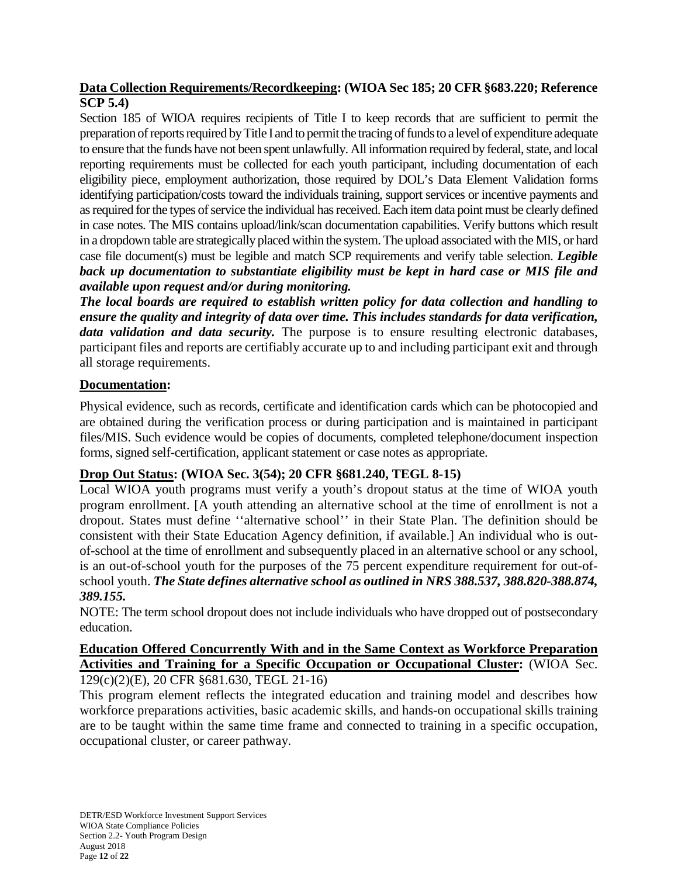## **Data Collection Requirements/Recordkeeping: (WIOA Sec 185; 20 CFR §683.220; Reference SCP 5.4)**

Section 185 of WIOA requires recipients of Title I to keep records that are sufficient to permit the preparation of reports required by Title I and to permit the tracing of funds to a level of expenditure adequate to ensure that the funds have not been spent unlawfully. All information required by federal, state, and local reporting requirements must be collected for each youth participant, including documentation of each eligibility piece, employment authorization, those required by DOL's Data Element Validation forms identifying participation/costs toward the individuals training, support services or incentive payments and as required for the types of service the individual has received. Each item data point must be clearly defined in case notes. The MIS contains upload/link/scan documentation capabilities. Verify buttons which result in a dropdown table are strategically placed within the system. The upload associated with the MIS, or hard case file document(s) must be legible and match SCP requirements and verify table selection. *Legible back up documentation to substantiate eligibility must be kept in hard case or MIS file and available upon request and/or during monitoring.*

*The local boards are required to establish written policy for data collection and handling to ensure the quality and integrity of data over time. This includes standards for data verification, data validation and data security.* The purpose is to ensure resulting electronic databases, participant files and reports are certifiably accurate up to and including participant exit and through all storage requirements.

## **Documentation:**

Physical evidence, such as records, certificate and identification cards which can be photocopied and are obtained during the verification process or during participation and is maintained in participant files/MIS. Such evidence would be copies of documents, completed telephone/document inspection forms, signed self-certification, applicant statement or case notes as appropriate.

# **Drop Out Status: (WIOA Sec. 3(54); 20 CFR §681.240, TEGL 8-15)**

Local WIOA youth programs must verify a youth's dropout status at the time of WIOA youth program enrollment. [A youth attending an alternative school at the time of enrollment is not a dropout. States must define ''alternative school'' in their State Plan. The definition should be consistent with their State Education Agency definition, if available.] An individual who is outof-school at the time of enrollment and subsequently placed in an alternative school or any school, is an out-of-school youth for the purposes of the 75 percent expenditure requirement for out-ofschool youth. *The State defines alternative school as outlined in NRS 388.537, 388.820-388.874, 389.155.*

NOTE: The term school dropout does not include individuals who have dropped out of postsecondary education.

# **Education Offered Concurrently With and in the Same Context as Workforce Preparation Activities and Training for a Specific Occupation or Occupational Cluster:** (WIOA Sec.

129(c)(2)(E), 20 CFR §681.630, TEGL 21-16)

This program element reflects the integrated education and training model and describes how workforce preparations activities, basic academic skills, and hands-on occupational skills training are to be taught within the same time frame and connected to training in a specific occupation, occupational cluster, or career pathway.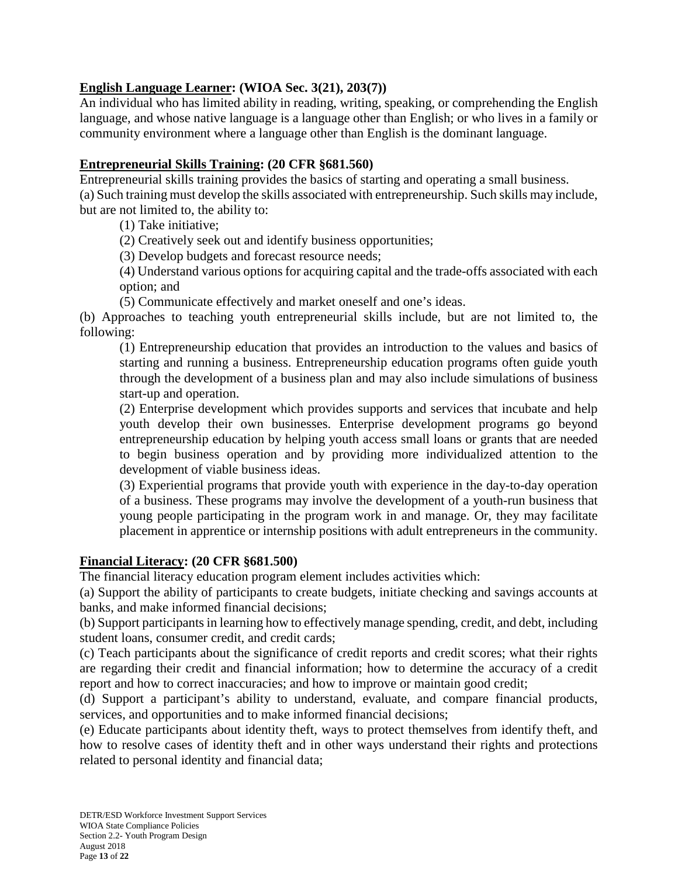## **English Language Learner: (WIOA Sec. 3(21), 203(7))**

An individual who has limited ability in reading, writing, speaking, or comprehending the English language, and whose native language is a language other than English; or who lives in a family or community environment where a language other than English is the dominant language.

### **Entrepreneurial Skills Training: (20 CFR §681.560)**

Entrepreneurial skills training provides the basics of starting and operating a small business. (a) Such training must develop the skills associated with entrepreneurship. Such skills may include, but are not limited to, the ability to:

(1) Take initiative;

(2) Creatively seek out and identify business opportunities;

(3) Develop budgets and forecast resource needs;

(4) Understand various options for acquiring capital and the trade-offs associated with each option; and

(5) Communicate effectively and market oneself and one's ideas.

(b) Approaches to teaching youth entrepreneurial skills include, but are not limited to, the following:

(1) Entrepreneurship education that provides an introduction to the values and basics of starting and running a business. Entrepreneurship education programs often guide youth through the development of a business plan and may also include simulations of business start-up and operation.

(2) Enterprise development which provides supports and services that incubate and help youth develop their own businesses. Enterprise development programs go beyond entrepreneurship education by helping youth access small loans or grants that are needed to begin business operation and by providing more individualized attention to the development of viable business ideas.

(3) Experiential programs that provide youth with experience in the day-to-day operation of a business. These programs may involve the development of a youth-run business that young people participating in the program work in and manage. Or, they may facilitate placement in apprentice or internship positions with adult entrepreneurs in the community.

### **Financial Literacy: (20 CFR §681.500)**

The financial literacy education program element includes activities which:

(a) Support the ability of participants to create budgets, initiate checking and savings accounts at banks, and make informed financial decisions;

(b) Support participants in learning how to effectively manage spending, credit, and debt, including student loans, consumer credit, and credit cards;

(c) Teach participants about the significance of credit reports and credit scores; what their rights are regarding their credit and financial information; how to determine the accuracy of a credit report and how to correct inaccuracies; and how to improve or maintain good credit;

(d) Support a participant's ability to understand, evaluate, and compare financial products, services, and opportunities and to make informed financial decisions;

(e) Educate participants about identity theft, ways to protect themselves from identify theft, and how to resolve cases of identity theft and in other ways understand their rights and protections related to personal identity and financial data;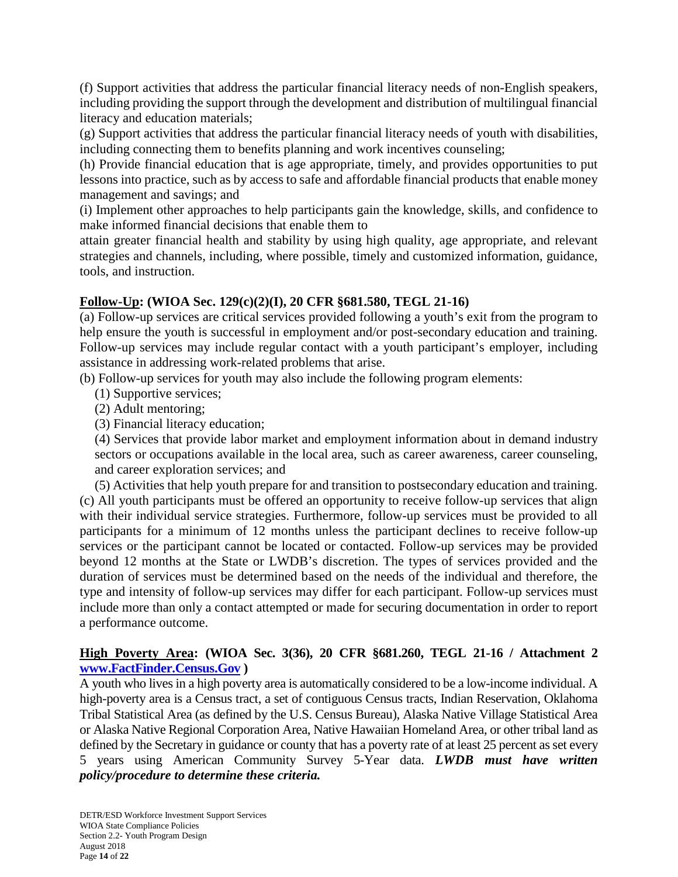(f) Support activities that address the particular financial literacy needs of non-English speakers, including providing the support through the development and distribution of multilingual financial literacy and education materials;

(g) Support activities that address the particular financial literacy needs of youth with disabilities, including connecting them to benefits planning and work incentives counseling;

(h) Provide financial education that is age appropriate, timely, and provides opportunities to put lessons into practice, such as by access to safe and affordable financial products that enable money management and savings; and

(i) Implement other approaches to help participants gain the knowledge, skills, and confidence to make informed financial decisions that enable them to

attain greater financial health and stability by using high quality, age appropriate, and relevant strategies and channels, including, where possible, timely and customized information, guidance, tools, and instruction.

## **Follow-Up: (WIOA Sec. 129(c)(2)(I), 20 CFR §681.580, TEGL 21-16)**

(a) Follow-up services are critical services provided following a youth's exit from the program to help ensure the youth is successful in employment and/or post-secondary education and training. Follow-up services may include regular contact with a youth participant's employer, including assistance in addressing work-related problems that arise.

(b) Follow-up services for youth may also include the following program elements:

- (1) Supportive services;
- (2) Adult mentoring;
- (3) Financial literacy education;

(4) Services that provide labor market and employment information about in demand industry sectors or occupations available in the local area, such as career awareness, career counseling, and career exploration services; and

(5) Activities that help youth prepare for and transition to postsecondary education and training. (c) All youth participants must be offered an opportunity to receive follow-up services that align with their individual service strategies. Furthermore, follow-up services must be provided to all participants for a minimum of 12 months unless the participant declines to receive follow-up services or the participant cannot be located or contacted. Follow-up services may be provided beyond 12 months at the State or LWDB's discretion. The types of services provided and the duration of services must be determined based on the needs of the individual and therefore, the type and intensity of follow-up services may differ for each participant. Follow-up services must include more than only a contact attempted or made for securing documentation in order to report a performance outcome.

## **High Poverty Area: (WIOA Sec. 3(36), 20 CFR §681.260, TEGL 21-16 / Attachment 2 [www.FactFinder.Census.Gov](http://www.factfinder.census.gov/) )**

A youth who lives in a high poverty area is automatically considered to be a low-income individual. A high-poverty area is a Census tract, a set of contiguous Census tracts, Indian Reservation, Oklahoma Tribal Statistical Area (as defined by the U.S. Census Bureau), Alaska Native Village Statistical Area or Alaska Native Regional Corporation Area, Native Hawaiian Homeland Area, or other tribal land as defined by the Secretary in guidance or county that has a poverty rate of at least 25 percent as set every 5 years using American Community Survey 5-Year data. *LWDB must have written policy/procedure to determine these criteria.*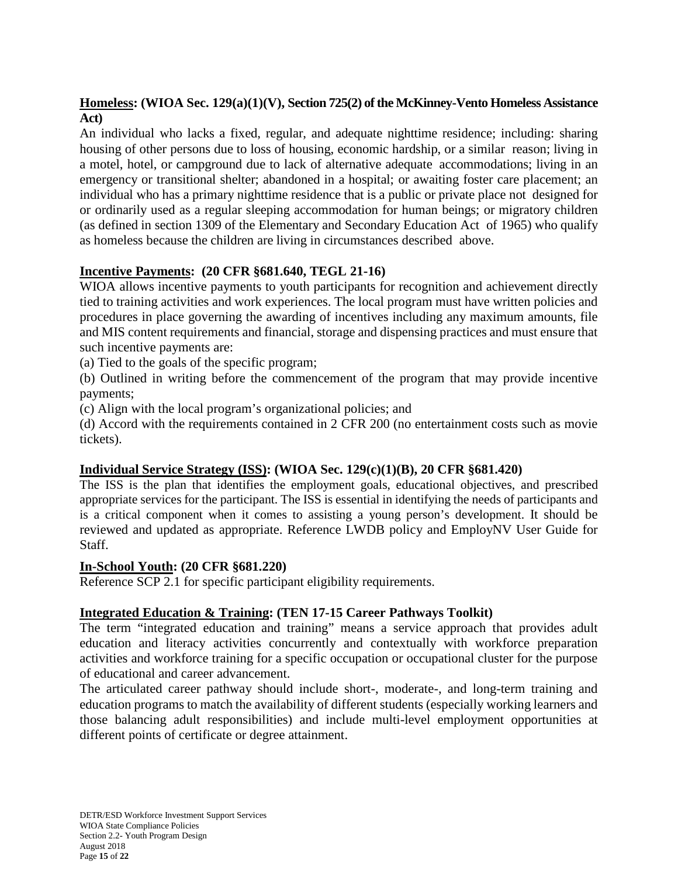## **Homeless: (WIOA Sec. 129(a)(1)(V), Section 725(2) of the McKinney-Vento Homeless Assistance Act)**

An individual who lacks a fixed, regular, and adequate nighttime residence; including: sharing housing of other persons due to loss of housing, economic hardship, or a similar reason; living in a motel, hotel, or campground due to lack of alternative adequate accommodations; living in an emergency or transitional shelter; abandoned in a hospital; or awaiting foster care placement; an individual who has a primary nighttime residence that is a public or private place not designed for or ordinarily used as a regular sleeping accommodation for human beings; or migratory children (as defined in section 1309 of the Elementary and Secondary Education Act of 1965) who qualify as homeless because the children are living in circumstances described above.

# **Incentive Payments: (20 CFR §681.640, TEGL 21-16)**

WIOA allows incentive payments to youth participants for recognition and achievement directly tied to training activities and work experiences. The local program must have written policies and procedures in place governing the awarding of incentives including any maximum amounts, file and MIS content requirements and financial, storage and dispensing practices and must ensure that such incentive payments are:

(a) Tied to the goals of the specific program;

(b) Outlined in writing before the commencement of the program that may provide incentive payments;

(c) Align with the local program's organizational policies; and

(d) Accord with the requirements contained in 2 CFR 200 (no entertainment costs such as movie tickets).

# **Individual Service Strategy (ISS): (WIOA Sec. 129(c)(1)(B), 20 CFR §681.420)**

The ISS is the plan that identifies the employment goals, educational objectives, and prescribed appropriate services for the participant. The ISS is essential in identifying the needs of participants and is a critical component when it comes to assisting a young person's development. It should be reviewed and updated as appropriate. Reference LWDB policy and EmployNV User Guide for Staff.

## **In-School Youth: (20 CFR §681.220)**

Reference SCP 2.1 for specific participant eligibility requirements.

# **Integrated Education & Training: (TEN 17-15 Career Pathways Toolkit)**

The term "integrated education and training" means a service approach that provides adult education and literacy activities concurrently and contextually with workforce preparation activities and workforce training for a specific occupation or occupational cluster for the purpose of educational and career advancement.

The articulated career pathway should include short-, moderate-, and long-term training and education programs to match the availability of different students (especially working learners and those balancing adult responsibilities) and include multi-level employment opportunities at different points of certificate or degree attainment.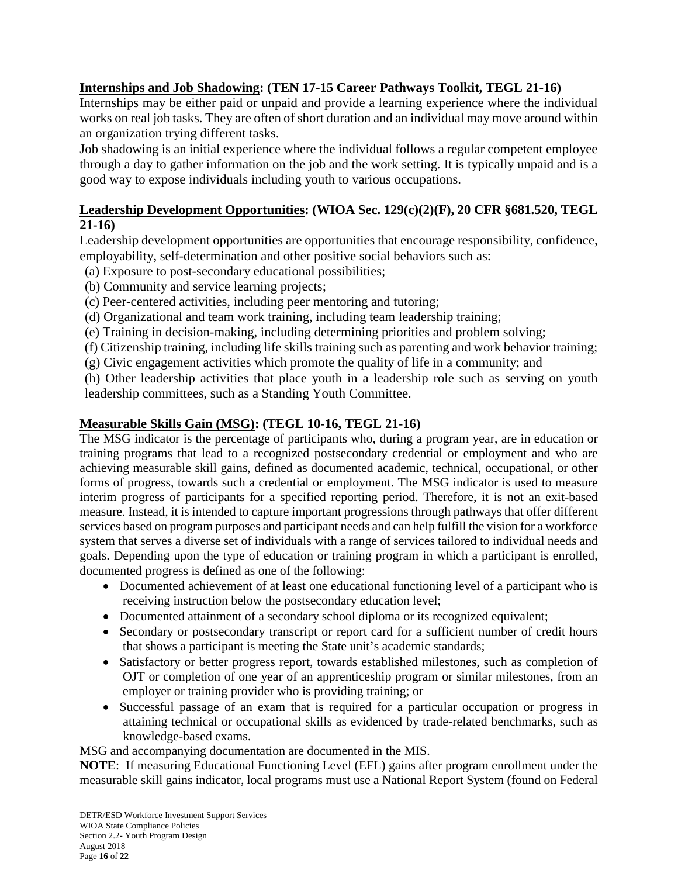## **Internships and Job Shadowing: (TEN 17-15 Career Pathways Toolkit, TEGL 21-16)**

Internships may be either paid or unpaid and provide a learning experience where the individual works on real job tasks. They are often of short duration and an individual may move around within an organization trying different tasks.

Job shadowing is an initial experience where the individual follows a regular competent employee through a day to gather information on the job and the work setting. It is typically unpaid and is a good way to expose individuals including youth to various occupations.

## **Leadership Development Opportunities: (WIOA Sec. 129(c)(2)(F), 20 CFR §681.520, TEGL 21-16)**

Leadership development opportunities are opportunities that encourage responsibility, confidence, employability, self-determination and other positive social behaviors such as:

- (a) Exposure to post-secondary educational possibilities;
- (b) Community and service learning projects;
- (c) Peer-centered activities, including peer mentoring and tutoring;
- (d) Organizational and team work training, including team leadership training;
- (e) Training in decision-making, including determining priorities and problem solving;
- (f) Citizenship training, including life skills training such as parenting and work behavior training;
- (g) Civic engagement activities which promote the quality of life in a community; and

(h) Other leadership activities that place youth in a leadership role such as serving on youth leadership committees, such as a Standing Youth Committee.

### **Measurable Skills Gain (MSG): (TEGL 10-16, TEGL 21-16)**

The MSG indicator is the percentage of participants who, during a program year, are in education or training programs that lead to a recognized postsecondary credential or employment and who are achieving measurable skill gains, defined as documented academic, technical, occupational, or other forms of progress, towards such a credential or employment. The MSG indicator is used to measure interim progress of participants for a specified reporting period. Therefore, it is not an exit-based measure. Instead, it is intended to capture important progressions through pathways that offer different services based on program purposes and participant needs and can help fulfill the vision for a workforce system that serves a diverse set of individuals with a range of services tailored to individual needs and goals. Depending upon the type of education or training program in which a participant is enrolled, documented progress is defined as one of the following:

- Documented achievement of at least one educational functioning level of a participant who is receiving instruction below the postsecondary education level;
- Documented attainment of a secondary school diploma or its recognized equivalent;
- Secondary or postsecondary transcript or report card for a sufficient number of credit hours that shows a participant is meeting the State unit's academic standards;
- Satisfactory or better progress report, towards established milestones, such as completion of OJT or completion of one year of an apprenticeship program or similar milestones, from an employer or training provider who is providing training; or
- Successful passage of an exam that is required for a particular occupation or progress in attaining technical or occupational skills as evidenced by trade-related benchmarks, such as knowledge-based exams.

MSG and accompanying documentation are documented in the MIS.

**NOTE**: If measuring Educational Functioning Level (EFL) gains after program enrollment under the measurable skill gains indicator, local programs must use a National Report System (found on Federal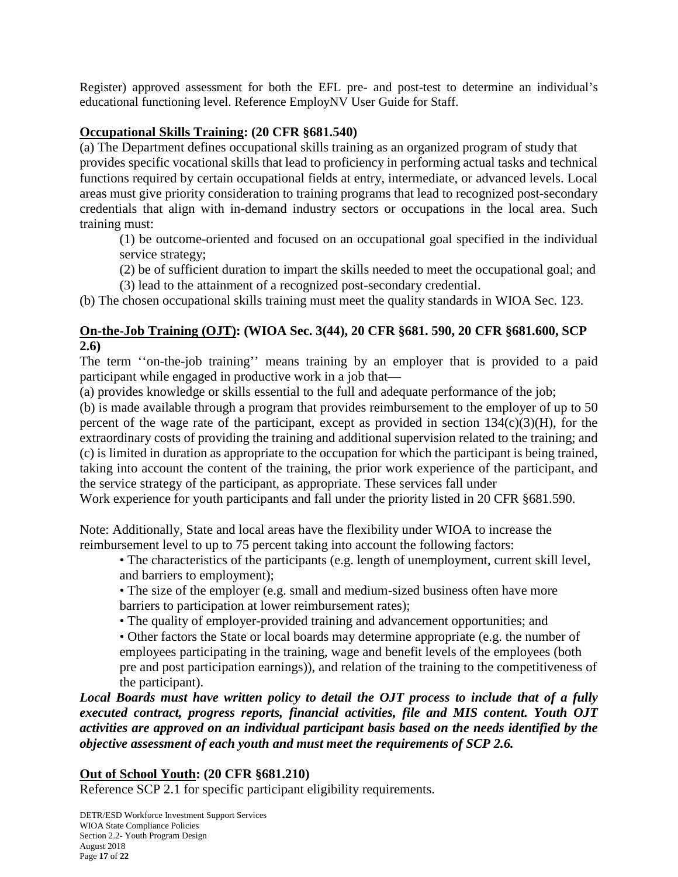Register) approved assessment for both the EFL pre- and post-test to determine an individual's educational functioning level. Reference EmployNV User Guide for Staff.

## **Occupational Skills Training: (20 CFR §681.540)**

(a) The Department defines occupational skills training as an organized program of study that provides specific vocational skills that lead to proficiency in performing actual tasks and technical functions required by certain occupational fields at entry, intermediate, or advanced levels. Local areas must give priority consideration to training programs that lead to recognized post-secondary credentials that align with in-demand industry sectors or occupations in the local area. Such training must:

(1) be outcome-oriented and focused on an occupational goal specified in the individual service strategy;

(2) be of sufficient duration to impart the skills needed to meet the occupational goal; and

(3) lead to the attainment of a recognized post-secondary credential.

(b) The chosen occupational skills training must meet the quality standards in WIOA Sec. 123.

## **On-the-Job Training (OJT): (WIOA Sec. 3(44), 20 CFR §681. 590, 20 CFR §681.600, SCP 2.6)**

The term ''on-the-job training'' means training by an employer that is provided to a paid participant while engaged in productive work in a job that—

(a) provides knowledge or skills essential to the full and adequate performance of the job;

(b) is made available through a program that provides reimbursement to the employer of up to 50 percent of the wage rate of the participant, except as provided in section  $134(c)(3)(H)$ , for the extraordinary costs of providing the training and additional supervision related to the training; and (c) is limited in duration as appropriate to the occupation for which the participant is being trained, taking into account the content of the training, the prior work experience of the participant, and the service strategy of the participant, as appropriate. These services fall under

Work experience for youth participants and fall under the priority listed in 20 CFR  $\S 681.590$ .

Note: Additionally, State and local areas have the flexibility under WIOA to increase the reimbursement level to up to 75 percent taking into account the following factors:

- The characteristics of the participants (e.g. length of unemployment, current skill level, and barriers to employment);
- The size of the employer (e.g. small and medium-sized business often have more barriers to participation at lower reimbursement rates);
- The quality of employer-provided training and advancement opportunities; and
- Other factors the State or local boards may determine appropriate (e.g. the number of employees participating in the training, wage and benefit levels of the employees (both pre and post participation earnings)), and relation of the training to the competitiveness of the participant).

*Local Boards must have written policy to detail the OJT process to include that of a fully executed contract, progress reports, financial activities, file and MIS content. Youth OJT activities are approved on an individual participant basis based on the needs identified by the objective assessment of each youth and must meet the requirements of SCP 2.6.*

## **Out of School Youth: (20 CFR §681.210)**

Reference SCP 2.1 for specific participant eligibility requirements.

DETR/ESD Workforce Investment Support Services WIOA State Compliance Policies Section 2.2- Youth Program Design August 2018 Page **17** of **22**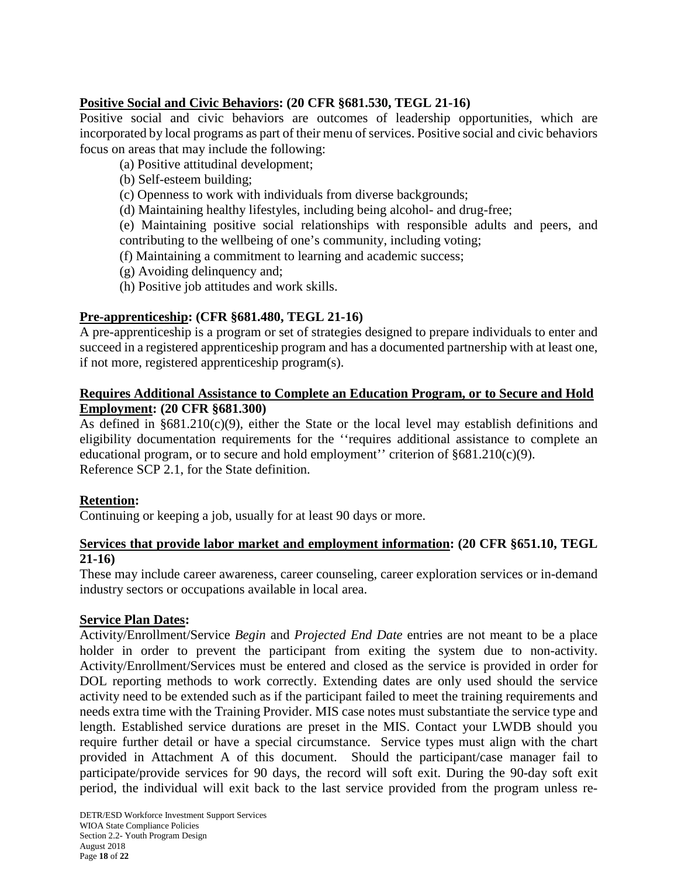## **Positive Social and Civic Behaviors: (20 CFR §681.530, TEGL 21-16)**

Positive social and civic behaviors are outcomes of leadership opportunities, which are incorporated by local programs as part of their menu of services. Positive social and civic behaviors focus on areas that may include the following:

- (a) Positive attitudinal development;
- (b) Self-esteem building;
- (c) Openness to work with individuals from diverse backgrounds;
- (d) Maintaining healthy lifestyles, including being alcohol- and drug-free;

(e) Maintaining positive social relationships with responsible adults and peers, and contributing to the wellbeing of one's community, including voting;

- (f) Maintaining a commitment to learning and academic success;
- (g) Avoiding delinquency and;
- (h) Positive job attitudes and work skills.

### **Pre-apprenticeship: (CFR §681.480, TEGL 21-16)**

A pre-apprenticeship is a program or set of strategies designed to prepare individuals to enter and succeed in a registered apprenticeship program and has a documented partnership with at least one, if not more, registered apprenticeship program(s).

### **Requires Additional Assistance to Complete an Education Program, or to Secure and Hold Employment: (20 CFR §681.300)**

As defined in  $§681.210(c)(9)$ , either the State or the local level may establish definitions and eligibility documentation requirements for the ''requires additional assistance to complete an educational program, or to secure and hold employment'' criterion of §681.210(c)(9). Reference SCP 2.1, for the State definition.

### **Retention:**

Continuing or keeping a job, usually for at least 90 days or more.

### **Services that provide labor market and employment information: (20 CFR §651.10, TEGL 21-16)**

These may include career awareness, career counseling, career exploration services or in-demand industry sectors or occupations available in local area.

### **Service Plan Dates:**

Activity/Enrollment/Service *Begin* and *Projected End Date* entries are not meant to be a place holder in order to prevent the participant from exiting the system due to non-activity. Activity/Enrollment/Services must be entered and closed as the service is provided in order for DOL reporting methods to work correctly. Extending dates are only used should the service activity need to be extended such as if the participant failed to meet the training requirements and needs extra time with the Training Provider. MIS case notes must substantiate the service type and length. Established service durations are preset in the MIS. Contact your LWDB should you require further detail or have a special circumstance. Service types must align with the chart provided in Attachment A of this document. Should the participant/case manager fail to participate/provide services for 90 days, the record will soft exit. During the 90-day soft exit period, the individual will exit back to the last service provided from the program unless re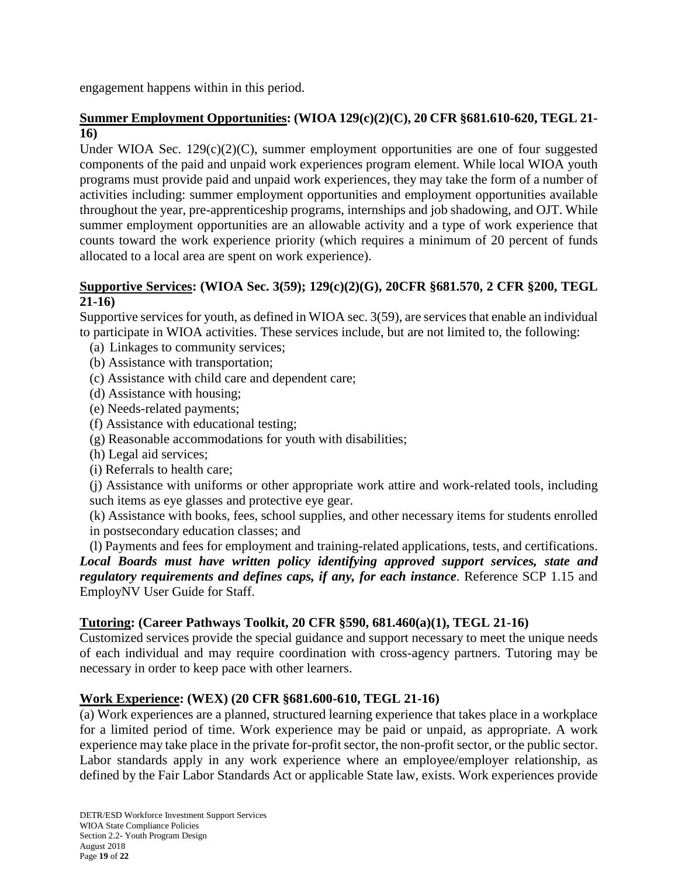engagement happens within in this period.

### **Summer Employment Opportunities: (WIOA 129(c)(2)(C), 20 CFR §681.610-620, TEGL 21- 16)**

Under WIOA Sec.  $129(c)(2)(C)$ , summer employment opportunities are one of four suggested components of the paid and unpaid work experiences program element. While local WIOA youth programs must provide paid and unpaid work experiences, they may take the form of a number of activities including: summer employment opportunities and employment opportunities available throughout the year, pre-apprenticeship programs, internships and job shadowing, and OJT. While summer employment opportunities are an allowable activity and a type of work experience that counts toward the work experience priority (which requires a minimum of 20 percent of funds allocated to a local area are spent on work experience).

### **Supportive Services: (WIOA Sec. 3(59); 129(c)(2)(G), 20CFR §681.570, 2 CFR §200, TEGL 21-16)**

Supportive services for youth, as defined in WIOA sec. 3(59), are services that enable an individual to participate in WIOA activities. These services include, but are not limited to, the following:

- (a) Linkages to community services;
- (b) Assistance with transportation;
- (c) Assistance with child care and dependent care;
- (d) Assistance with housing;
- (e) Needs-related payments;
- (f) Assistance with educational testing;
- (g) Reasonable accommodations for youth with disabilities;
- (h) Legal aid services;
- (i) Referrals to health care;

(j) Assistance with uniforms or other appropriate work attire and work-related tools, including such items as eye glasses and protective eye gear.

(k) Assistance with books, fees, school supplies, and other necessary items for students enrolled in postsecondary education classes; and

(l) Payments and fees for employment and training-related applications, tests, and certifications. *Local Boards must have written policy identifying approved support services, state and regulatory requirements and defines caps, if any, for each instance*. Reference SCP 1.15 and EmployNV User Guide for Staff.

### **Tutoring: (Career Pathways Toolkit, 20 CFR §590, 681.460(a)(1), TEGL 21-16)**

Customized services provide the special guidance and support necessary to meet the unique needs of each individual and may require coordination with cross-agency partners. Tutoring may be necessary in order to keep pace with other learners.

### **Work Experience: (WEX) (20 CFR §681.600-610, TEGL 21-16)**

(a) Work experiences are a planned, structured learning experience that takes place in a workplace for a limited period of time. Work experience may be paid or unpaid, as appropriate. A work experience may take place in the private for-profit sector, the non-profit sector, or the public sector. Labor standards apply in any work experience where an employee/employer relationship, as defined by the Fair Labor Standards Act or applicable State law, exists. Work experiences provide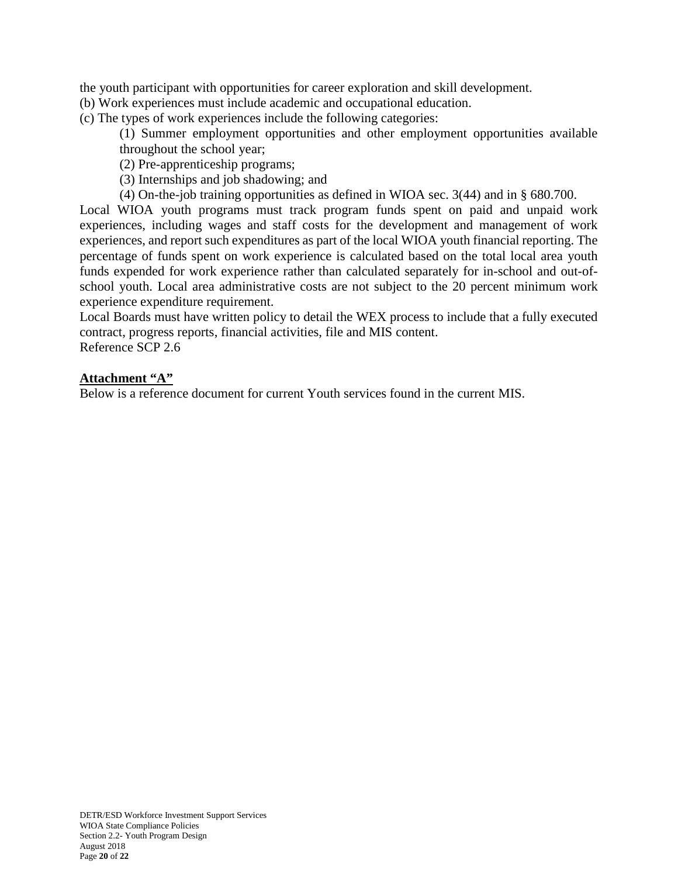the youth participant with opportunities for career exploration and skill development.

(b) Work experiences must include academic and occupational education.

(c) The types of work experiences include the following categories:

(1) Summer employment opportunities and other employment opportunities available throughout the school year;

(2) Pre-apprenticeship programs;

(3) Internships and job shadowing; and

(4) On-the-job training opportunities as defined in WIOA sec. 3(44) and in § 680.700.

Local WIOA youth programs must track program funds spent on paid and unpaid work experiences, including wages and staff costs for the development and management of work experiences, and report such expenditures as part of the local WIOA youth financial reporting. The percentage of funds spent on work experience is calculated based on the total local area youth funds expended for work experience rather than calculated separately for in-school and out-ofschool youth. Local area administrative costs are not subject to the 20 percent minimum work experience expenditure requirement.

Local Boards must have written policy to detail the WEX process to include that a fully executed contract, progress reports, financial activities, file and MIS content. Reference SCP 2.6

### **Attachment "A"**

Below is a reference document for current Youth services found in the current MIS.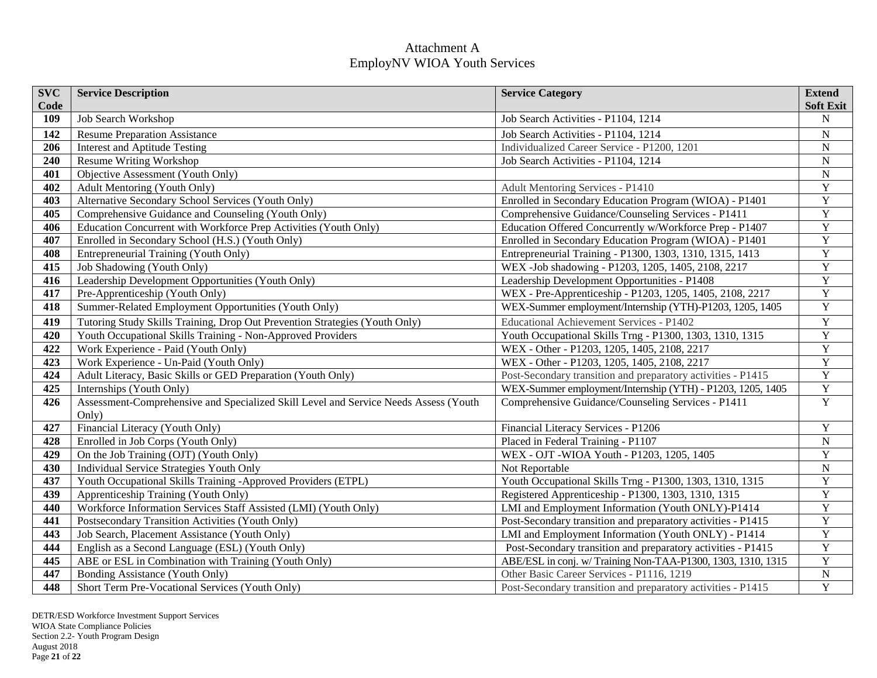## Attachment A EmployNV WIOA Youth Services

| <b>SVC</b><br>Code | <b>Service Description</b>                                                                    | <b>Service Category</b>                                      | <b>Extend</b><br><b>Soft Exit</b> |
|--------------------|-----------------------------------------------------------------------------------------------|--------------------------------------------------------------|-----------------------------------|
| 109                | Job Search Workshop                                                                           | Job Search Activities - P1104, 1214                          | N                                 |
| 142                | <b>Resume Preparation Assistance</b>                                                          | Job Search Activities - P1104, 1214                          | ${\bf N}$                         |
| 206                | <b>Interest and Aptitude Testing</b>                                                          | Individualized Career Service - P1200, 1201                  | ${\bf N}$                         |
| 240                | Resume Writing Workshop                                                                       | Job Search Activities - P1104, 1214                          | ${\bf N}$                         |
| 401                | Objective Assessment (Youth Only)                                                             |                                                              | ${\bf N}$                         |
| 402                | Adult Mentoring (Youth Only)                                                                  | <b>Adult Mentoring Services - P1410</b>                      | $\overline{Y}$                    |
| 403                | Alternative Secondary School Services (Youth Only)                                            | Enrolled in Secondary Education Program (WIOA) - P1401       | $\overline{Y}$                    |
| 405                | Comprehensive Guidance and Counseling (Youth Only)                                            | Comprehensive Guidance/Counseling Services - P1411           | $\overline{Y}$                    |
| 406                | Education Concurrent with Workforce Prep Activities (Youth Only)                              | Education Offered Concurrently w/Workforce Prep - P1407      | $\overline{\textbf{Y}}$           |
| 407                | Enrolled in Secondary School (H.S.) (Youth Only)                                              | Enrolled in Secondary Education Program (WIOA) - P1401       | $\overline{Y}$                    |
| 408                | Entrepreneurial Training (Youth Only)                                                         | Entrepreneurial Training - P1300, 1303, 1310, 1315, 1413     | $\mathbf Y$                       |
| 415                | Job Shadowing (Youth Only)                                                                    | WEX -Job shadowing - P1203, 1205, 1405, 2108, 2217           | $\overline{Y}$                    |
| 416                | Leadership Development Opportunities (Youth Only)                                             | Leadership Development Opportunities - P1408                 | $\overline{Y}$                    |
| 417                | Pre-Apprenticeship (Youth Only)                                                               | WEX - Pre-Apprenticeship - P1203, 1205, 1405, 2108, 2217     | $\mathbf Y$                       |
| 418                | Summer-Related Employment Opportunities (Youth Only)                                          | WEX-Summer employment/Internship (YTH)-P1203, 1205, 1405     | $\mathbf Y$                       |
| 419                | Tutoring Study Skills Training, Drop Out Prevention Strategies (Youth Only)                   | Educational Achievement Services - P1402                     | $\mathbf Y$                       |
| 420                | Youth Occupational Skills Training - Non-Approved Providers                                   | Youth Occupational Skills Trng - P1300, 1303, 1310, 1315     | $\overline{Y}$                    |
| 422                | Work Experience - Paid (Youth Only)                                                           | WEX - Other - P1203, 1205, 1405, 2108, 2217                  | $\mathbf Y$                       |
| 423                | Work Experience - Un-Paid (Youth Only)                                                        | WEX - Other - P1203, 1205, 1405, 2108, 2217                  | $\overline{Y}$                    |
| 424                | Adult Literacy, Basic Skills or GED Preparation (Youth Only)                                  | Post-Secondary transition and preparatory activities - P1415 | $\mathbf Y$                       |
| 425                | Internships (Youth Only)                                                                      | WEX-Summer employment/Internship (YTH) - P1203, 1205, 1405   | $\overline{Y}$                    |
| 426                | Assessment-Comprehensive and Specialized Skill Level and Service Needs Assess (Youth<br>Only) | Comprehensive Guidance/Counseling Services - P1411           | Y                                 |
| 427                | Financial Literacy (Youth Only)                                                               | Financial Literacy Services - P1206                          | $\mathbf Y$                       |
| 428                | Enrolled in Job Corps (Youth Only)                                                            | Placed in Federal Training - P1107                           | ${\bf N}$                         |
| 429                | On the Job Training (OJT) (Youth Only)                                                        | WEX - OJT -WIOA Youth - P1203, 1205, 1405                    | $\mathbf Y$                       |
| 430                | Individual Service Strategies Youth Only                                                      | Not Reportable                                               | ${\bf N}$                         |
| 437                | Youth Occupational Skills Training -Approved Providers (ETPL)                                 | Youth Occupational Skills Trng - P1300, 1303, 1310, 1315     | $\overline{Y}$                    |
| 439                | Apprenticeship Training (Youth Only)                                                          | Registered Apprenticeship - P1300, 1303, 1310, 1315          | $\overline{\mathbf{Y}}$           |
| 440                | Workforce Information Services Staff Assisted (LMI) (Youth Only)                              | LMI and Employment Information (Youth ONLY)-P1414            | $\overline{\mathbf{Y}}$           |
| 441                | Postsecondary Transition Activities (Youth Only)                                              | Post-Secondary transition and preparatory activities - P1415 | $\mathbf Y$                       |
| 443                | Job Search, Placement Assistance (Youth Only)                                                 | LMI and Employment Information (Youth ONLY) - P1414          | $\mathbf Y$                       |
| 444                | English as a Second Language (ESL) (Youth Only)                                               | Post-Secondary transition and preparatory activities - P1415 | $\overline{Y}$                    |
| 445                | ABE or ESL in Combination with Training (Youth Only)                                          | ABE/ESL in conj. w/ Training Non-TAA-P1300, 1303, 1310, 1315 | $\overline{Y}$                    |
| 447                | Bonding Assistance (Youth Only)                                                               | Other Basic Career Services - P1116, 1219                    | $\overline{\text{N}}$             |
| 448                | Short Term Pre-Vocational Services (Youth Only)                                               | Post-Secondary transition and preparatory activities - P1415 | Y                                 |